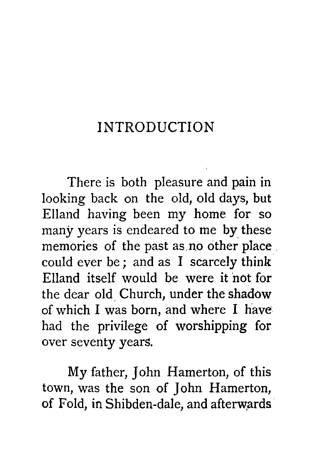## INTRODUCTION

There is both pleasure and pain in looking back on the old, old days, but Elland having been my home for so many years is endeared to me by these memories of the past as no other place. could ever be ; and as I scarcely think Elland itself would be were it not for the dear old Church, under the shadow of which I was born, and where I have had the privilege of worshipping for over seventy years.

My father, John Hamerton, of this town, was the son of John Hamerton, of Fold, in Shibden-dale, and afterwards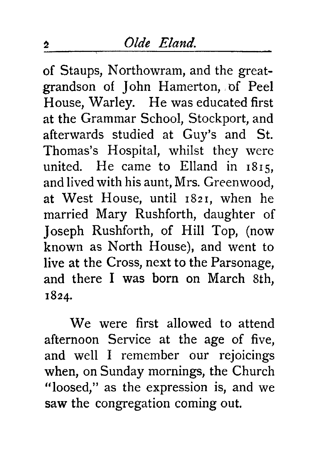of Staups, Northowram, and the greatgrandson of John Hamerton, of Peel House, Warley. He was educated first at the Grammar School, Stockport, and afterwards studied at Guy's and St. Thomas's Hospital, whilst they were united. He came to Elland in 1815, and lived with his aunt, Mrs. Greenwood, at West House, until 1821, when he married Mary Rushforth, daughter of Joseph Rushforth, of Hill Top, (now known as North House), and went to live at the Cross, next to the Parsonage, and there I was born on March 8th, 1824.

We were first allowed to attend afternoon Service at the age of five, and well I remember our rejoicings when, on Sunday mornings, the Church "loosed," as the expression is, and we saw the congregation coming out.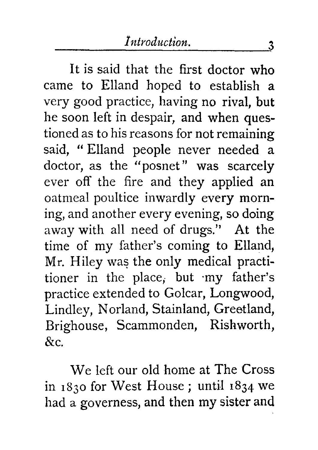It is said that the first doctor who came to Elland hoped to establish a very good practice, having no rival, but he soon left in despair, and when questioned as to his reasons for not remaining said, " Elland people never needed a doctor, as the "posnet" was scarcely ever off the fire and they applied an oatmeal poultice inwardly every morning, and another every evening, so doing away with all need of drugs." At the time of my father's coming to Elland, Mr. Hiley was the only medical practitioner in the place, but my father's practice extended to Golcar, Longwood, Lindley, Norland, Stainland, Greetland, Brighouse, Scammonden, Rishworth, &c.

We left our old home at The Cross in 1830 for West House ; until 1834 we had a governess, and then my sister and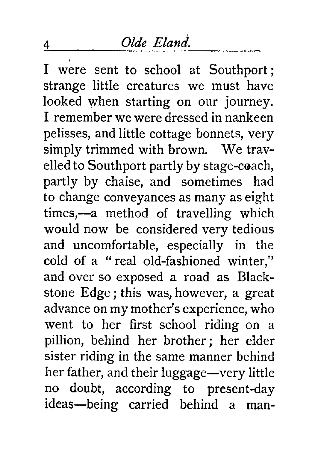## <sup>4</sup> *Olde Eland.*

I were sent to school at Southport ; strange little creatures we must have looked when starting on our journey. I remember we were dressed in nankeen pelisses, and little cottage bonnets, very simply trimmed with brown. We travelled to Southport partly by stage-coach, partly by chaise, and sometimes had to change conveyances as many as eight times,—a method of travelling which would now be considered very tedious and uncomfortable, especially in the cold of a " real old-fashioned winter," and over so exposed a road as Blackstone Edge ; this was, however, a great advance on my mother's experience, who went to her first school riding on a pillion, behind her brother ; her elder sister riding in the same manner behind her father, and their luggage—very little no doubt, according to present-day ideas—being carried behind a man-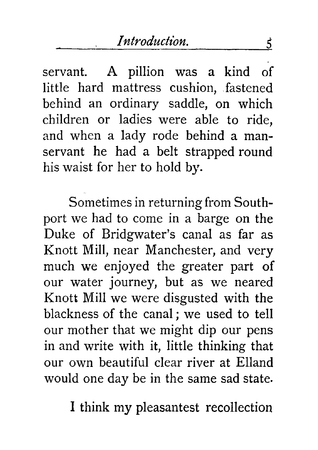servant. A pillion was a kind of little hard mattress cushion, fastened behind an ordinary saddle, on which children or ladies were able to ride, and when a lady rode behind a manservant he had a belt strapped round his waist for her to hold by.

Sometimes in returning from Southport we had to come in a barge on the Duke of Bridgwater's canal as far as Knott Mill, near Manchester, and very much we enjoyed the greater part of our water journey, but as we neared Knott Mill we were disgusted with the blackness of the canal ; we used to tell our mother that we might dip our pens in and write with it, little thinking that our own beautiful clear river at Elland would one day be in the same sad state.

I think my pleasantest recollection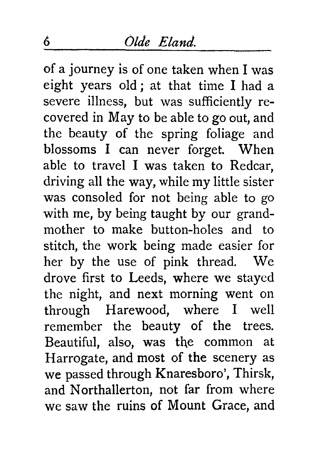of a journey is of one taken when I was eight years old ; at that time I had a severe illness, but was sufficiently recovered in May to be able to go out, and the beauty of the spring foliage and blossoms I can never forget. When able to travel I was taken to Redcar, driving all the way, while my little sister was consoled for not being able to go with me, by being taught by our grandmother to make button-holes and to stitch, the work being made easier for her by the use of pink thread. We drove first to Leeds, where we stayed the night, and next morning went on through Harewood, where I well remember the beauty of the trees. Beautiful, also, was the common at Harrogate, and most of the scenery as we passed through Knaresboro', Thirsk, and Northallerton, not far from where we saw the ruins of Mount Grace, and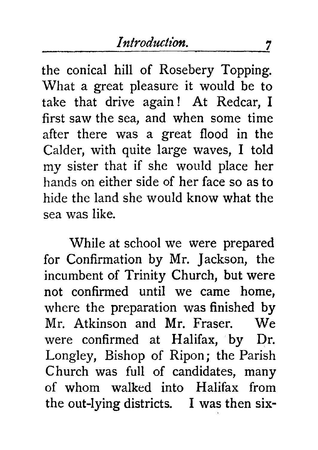the conical hill of Rosebery Topping. What a great pleasure it would be to take that drive again ! At Redcar, I first saw the sea, and when some time after there was a great flood in the Calder, with quite large waves, I told my sister that if she would place her hands on either side of her face so as to hide the land she would know what the sea was like.

While at school we were prepared for Confirmation by Mr. Jackson, the incumbent of Trinity Church, but were not confirmed until we came home, where the preparation was finished by Mr. Atkinson and Mr. Fraser. We were confirmed at Halifax, by Dr. Longley, Bishop of Ripon; the Parish Church was full of candidates, many of whom walked into Halifax from the out-lying districts. I was then six-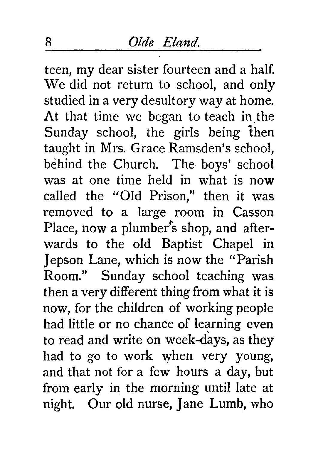teen, my dear sister fourteen and a half. We did not return to school, and only studied in a very desultory way at home. At that time we began to teach in the Sunday school, the girls being then taught in Mrs. Grace Ramsden's school, behind the Church. The boys' school was at one time held in what is now called the "Old Prison," then it was removed to a large room in Casson Place, now a plumber's shop, and afterwards to the old Baptist Chapel in Jepson Lane, which is now the "Parish Room." Sunday school teaching was then a very different thing from what it is now, for the children of working people had little or no chance of learning even to read and write on week-days, as they had to go to work when very young, and that not for a few hours a day, but from early in the morning until late at night. Our old nurse, Jane Lumb, who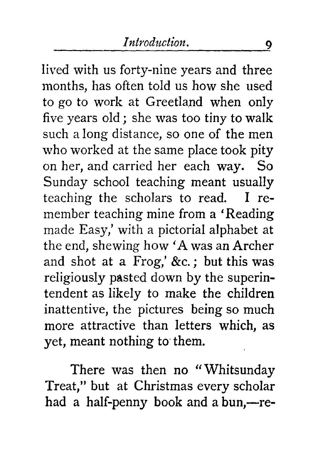lived with us forty-nine years and three months, has often told us how she used to go to work at Greetland when only five years old ; she was too tiny to walk such a long distance, so one of the men who worked at the same place took pity on her, and carried her each way. So Sunday school teaching meant usually teaching the scholars to read. I remember teaching mine from a 'Reading made Easy,' with a pictorial alphabet at the end, shewing how 'A was an Archer and shot at a Frog,' &c. ; but this was religiously pasted down by the superintendent as likely to make the children inattentive, the pictures being so much more attractive than letters which, as yet, meant nothing to them.

There was then no "Whitsunday Treat," but at Christmas every scholar had a half-penny book and a bun,—re-